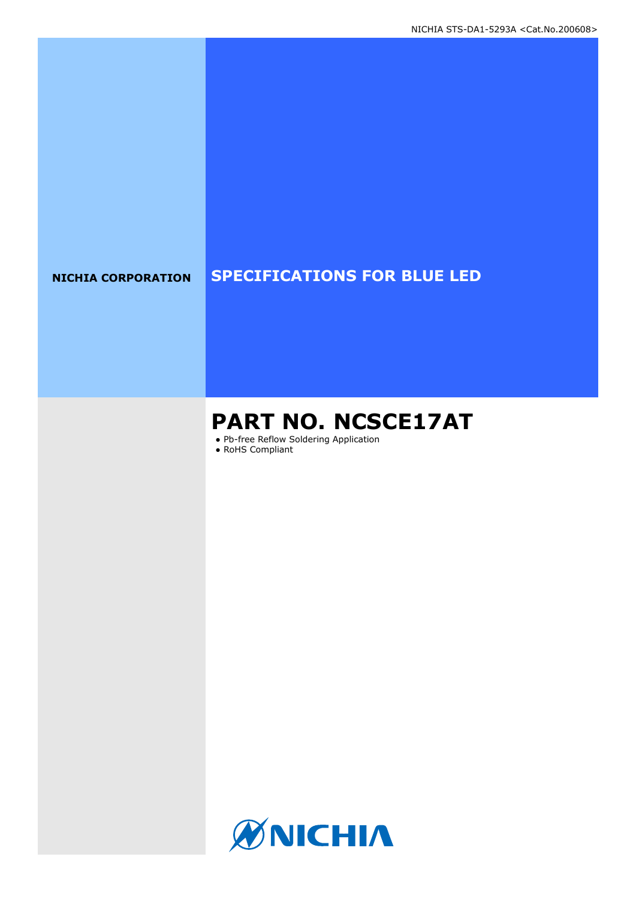# **NICHIA CORPORATION SPECIFICATIONS FOR BLUE LED**

# **PART NO. NCSCE17AT**

● Pb-free Reflow Soldering Application

● RoHS Compliant

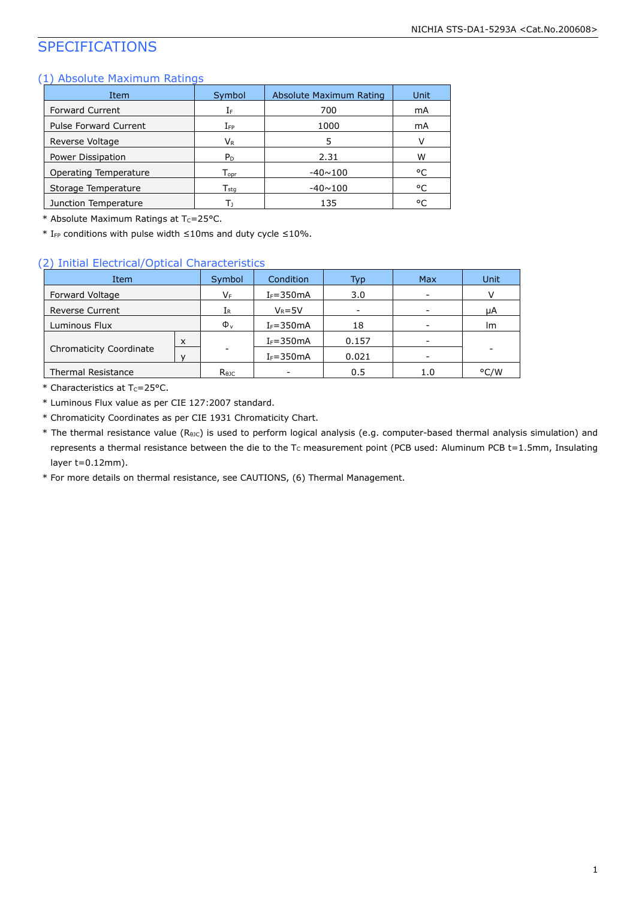# SPECIFICATIONS

### (1) Absolute Maximum Ratings

| Item                         | Symbol                      | Absolute Maximum Rating | Unit |
|------------------------------|-----------------------------|-------------------------|------|
| <b>Forward Current</b>       | ΙF                          | 700                     | mA   |
| <b>Pulse Forward Current</b> | $I_{FP}$                    | 1000                    | mA   |
| Reverse Voltage              | Vr                          | 5                       | V    |
| Power Dissipation            | P <sub>D</sub>              | 2.31                    | W    |
| Operating Temperature        | $\mathsf{T}_{\mathsf{oor}}$ | $-40 \sim 100$          | °C   |
| Storage Temperature          | $\mathsf{T}_{\mathsf{sta}}$ | $-40 \sim 100$          | °C   |
| Junction Temperature         | Т١                          | 135                     | °C   |

\* Absolute Maximum Ratings at  $T_c = 25$ °C.

\* IFP conditions with pulse width ≤10ms and duty cycle ≤10%.

### (2) Initial Electrical/Optical Characteristics

| Item                      |   | Symbol         | Condition     | Typ   | Max | Unit |
|---------------------------|---|----------------|---------------|-------|-----|------|
| Forward Voltage           |   | VF             | $I_F = 350mA$ | 3.0   |     |      |
| <b>Reverse Current</b>    |   | 1R.            | $V_R = 5V$    |       |     | μA   |
| Luminous Flux             |   | $\Phi_{\rm v}$ | $I_F = 350mA$ | 18    |     | lm   |
|                           | X |                | $I_F = 350mA$ | 0.157 |     |      |
| Chromaticity Coordinate   |   |                | $I_F = 350mA$ | 0.021 |     |      |
| <b>Thermal Resistance</b> |   | $R_{\theta$ JC |               | 0.5   | 1.0 | °C/W |

 $*$  Characteristics at T<sub>c</sub>=25°C.

\* Luminous Flux value as per CIE 127:2007 standard.

- \* Chromaticity Coordinates as per CIE 1931 Chromaticity Chart.
- \* The thermal resistance value (RθJC) is used to perform logical analysis (e.g. computer-based thermal analysis simulation) and represents a thermal resistance between the die to the Tc measurement point (PCB used: Aluminum PCB t=1.5mm, Insulating layer t=0.12mm).

\* For more details on thermal resistance, see CAUTIONS, (6) Thermal Management.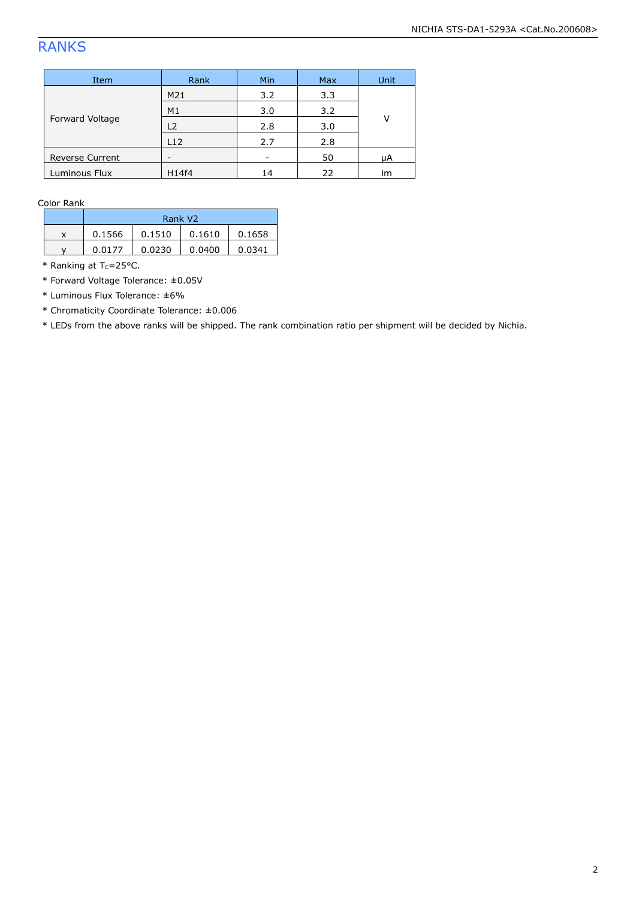# RANKS

| Item                   | Rank           | <b>Min</b> | <b>Max</b> | Unit |  |
|------------------------|----------------|------------|------------|------|--|
| Forward Voltage        | M21            | 3.2        | 3.3        |      |  |
|                        | M <sub>1</sub> | 3.0        | 3.2        | v    |  |
|                        | L <sub>2</sub> | 2.8        | 3.0        |      |  |
|                        | L12            | 2.7        | 2.8        |      |  |
| <b>Reverse Current</b> | -              |            | 50         | μA   |  |
| Luminous Flux          | H14f4          | 14         | 22         | Im   |  |

Color Rank

|   | Rank V <sub>2</sub> |        |        |        |  |
|---|---------------------|--------|--------|--------|--|
| x | 0.1566              | 0.1510 | 0.1610 | 0.1658 |  |
| v | 0.0177              | 0.0230 | 0.0400 | 0.0341 |  |

 $*$  Ranking at Tc=25°C.

\* Forward Voltage Tolerance: ±0.05V

\* Luminous Flux Tolerance: ±6%

\* Chromaticity Coordinate Tolerance: ±0.006

\* LEDs from the above ranks will be shipped. The rank combination ratio per shipment will be decided by Nichia.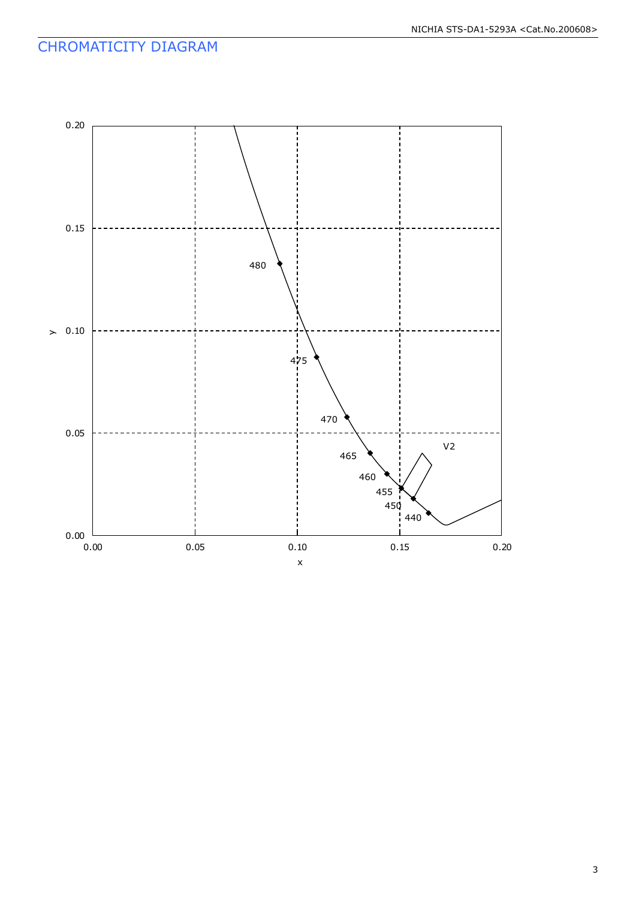# CHROMATICITY DIAGRAM

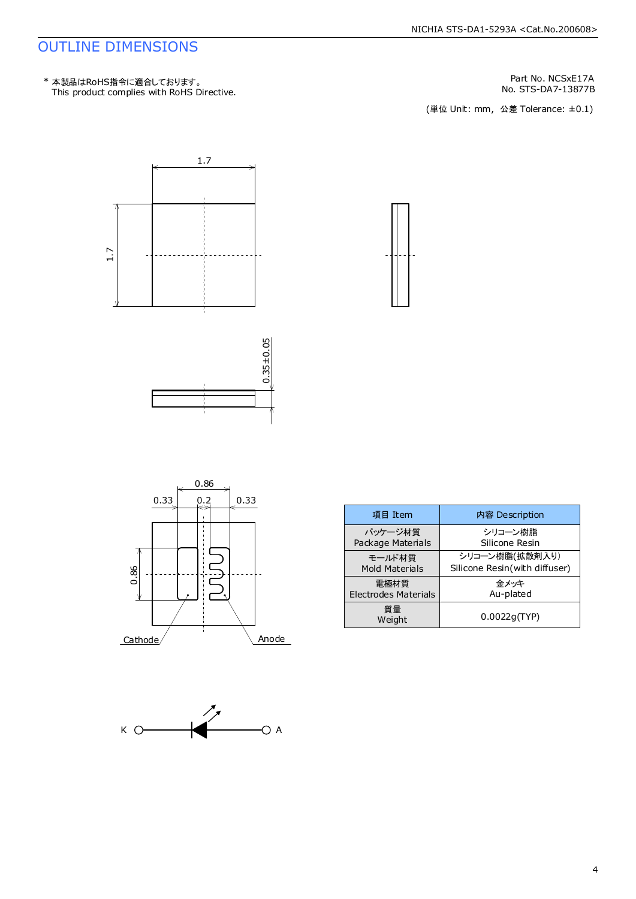# OUTLINE DIMENSIONS

Part No. NCSxE17A

No. STS-DA7-13877B<br>(単位 Unit: mm,公差 Tolerance: ±0.1)











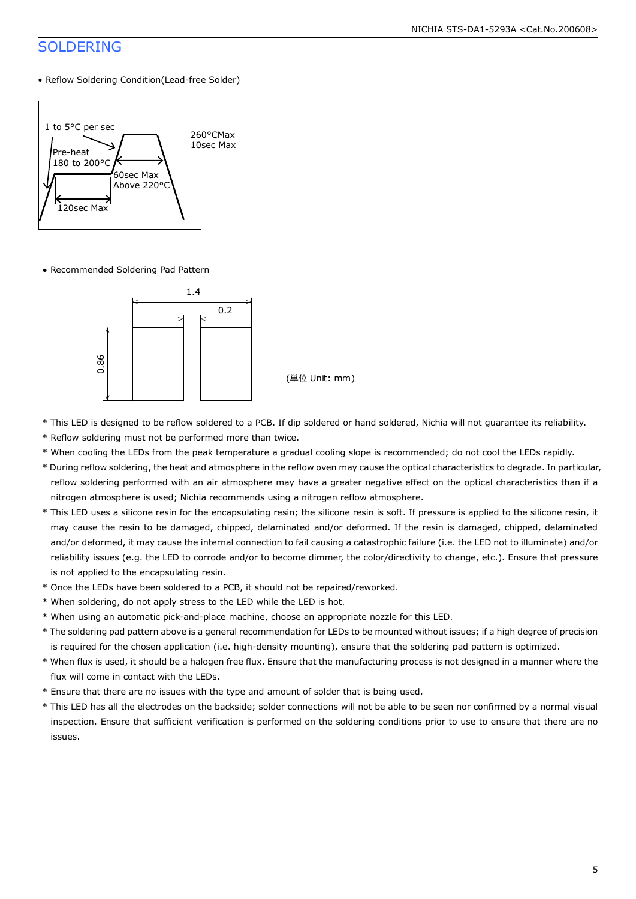# SOLDERING

• Reflow Soldering Condition(Lead-free Solder)



● Recommended Soldering Pad Pattern



(単位 Unit: mm)

- \* This LED is designed to be reflow soldered to a PCB. If dip soldered or hand soldered, Nichia will not guarantee its reliability.
- \* Reflow soldering must not be performed more than twice.
- \* When cooling the LEDs from the peak temperature a gradual cooling slope is recommended; do not cool the LEDs rapidly.
- \* During reflow soldering, the heat and atmosphere in the reflow oven may cause the optical characteristics to degrade. In particular, reflow soldering performed with an air atmosphere may have a greater negative effect on the optical characteristics than if a nitrogen atmosphere is used; Nichia recommends using a nitrogen reflow atmosphere.
- \* This LED uses a silicone resin for the encapsulating resin; the silicone resin is soft. If pressure is applied to the silicone resin, it may cause the resin to be damaged, chipped, delaminated and/or deformed. If the resin is damaged, chipped, delaminated and/or deformed, it may cause the internal connection to fail causing a catastrophic failure (i.e. the LED not to illuminate) and/or reliability issues (e.g. the LED to corrode and/or to become dimmer, the color/directivity to change, etc.). Ensure that pressure is not applied to the encapsulating resin.
- \* Once the LEDs have been soldered to a PCB, it should not be repaired/reworked.
- \* When soldering, do not apply stress to the LED while the LED is hot.
- \* When using an automatic pick-and-place machine, choose an appropriate nozzle for this LED.
- \* The soldering pad pattern above is a general recommendation for LEDs to be mounted without issues; if a high degree of precision is required for the chosen application (i.e. high-density mounting), ensure that the soldering pad pattern is optimized.
- \* When flux is used, it should be a halogen free flux. Ensure that the manufacturing process is not designed in a manner where the flux will come in contact with the LEDs.
- \* Ensure that there are no issues with the type and amount of solder that is being used.
- \* This LED has all the electrodes on the backside; solder connections will not be able to be seen nor confirmed by a normal visual inspection. Ensure that sufficient verification is performed on the soldering conditions prior to use to ensure that there are no issues.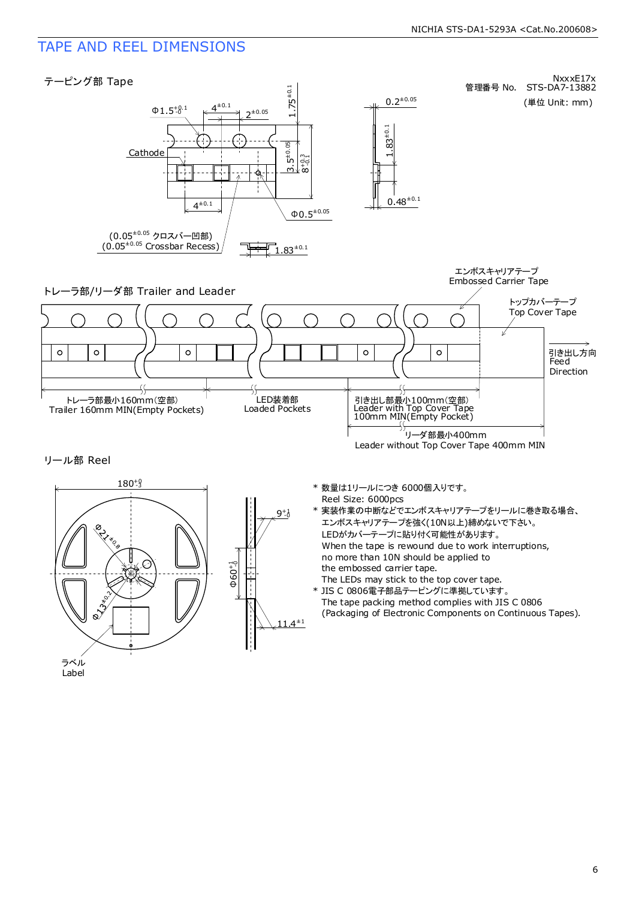# TAPE AND REEL DIMENSIONS

Label



6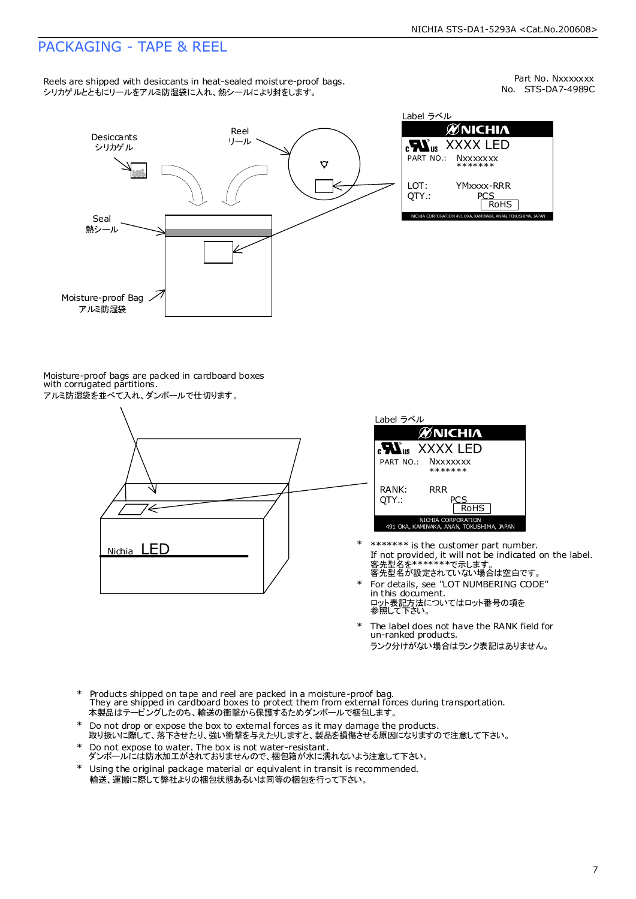# PACKAGING - TAPE & REEL

Reels are shipped with desiccants in heat-sealed moisture-proof bags. シリカゲルとともにリールをアルミ防湿袋に入れ、熱シールにより封をします。

No. STS-DA7-4989C Part No. Nxxxxxxx



Label ラベル  $\mathscr{U}$ NICHIA XXXX LED **Nxxxxxxx** \*\*\*\*\*\*\* YMxxxx-RRR  $PC$  $\frac{25}{\text{ROHS}}$ 

Moisture-proof bags are packed in cardboard boxes with corrugated partitions. アルミ防湿袋を並べて入れ、ダンボールで仕切ります。

# '∈ Nichia LED



- 客先型名を\*\*\*\*\*\*\*\*で示します。<br>客先型名が設定されていない場合は空白です。 If not provided, it will not be indicated on the label. \*\*\*\*\*\*\* is the customer part number. \*
- For details, see "LOT NUMBERING CODE" in this document. ロット表記方法についてはロット番号の項を<br>参照して下さい。 \*
- The label does not have the RANK field for un-ranked products. ランク分けがない場合はランク表記はありません。 \*
- Products shipped on tape and reel are packed in a moisture-proof bag. They are shipped in cardboard boxes to protect them from external forces during transportation. 本製品はテーピングしたのち、輸送の衝撃から保護するためダンボールで梱包します。 \*
- Do not drop or expose the box to external forces as it may damage the products. 取り扱いに際して、落下させたり、強い衝撃を与えたりしますと、製品を損傷させる原因になりますので注意して下さい。 \*
- Do not expose to water. The box is not water-resistant. ダンボールには防水加工がされておりませんので、梱包箱が水に濡れないよう注意して下さい。 \*
- \* Using the original package material or equivalent in transit is recommended. 輸送、運搬に際して弊社よりの梱包状態あるいは同等の梱包を行って下さい。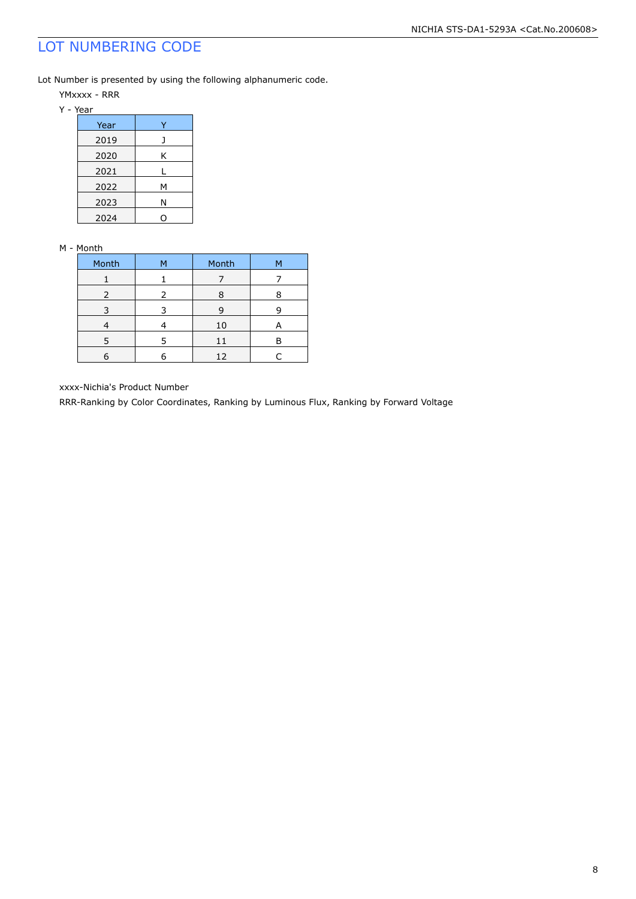# LOT NUMBERING CODE

Lot Number is presented by using the following alphanumeric code.

- YMxxxx RRR
- Y Year

| Year |   |
|------|---|
| 2019 |   |
| 2020 | Κ |
| 2021 | L |
| 2022 | М |
| 2023 | Ν |
| 2024 |   |

### M - Month

| Month         | М | Month | м |
|---------------|---|-------|---|
|               |   |       |   |
| $\mathcal{L}$ | 2 |       |   |
|               |   | Р     |   |
|               |   | 10    | А |
| 5             | 5 | 11    |   |
|               |   | 12    |   |

xxxx-Nichia's Product Number

RRR-Ranking by Color Coordinates, Ranking by Luminous Flux, Ranking by Forward Voltage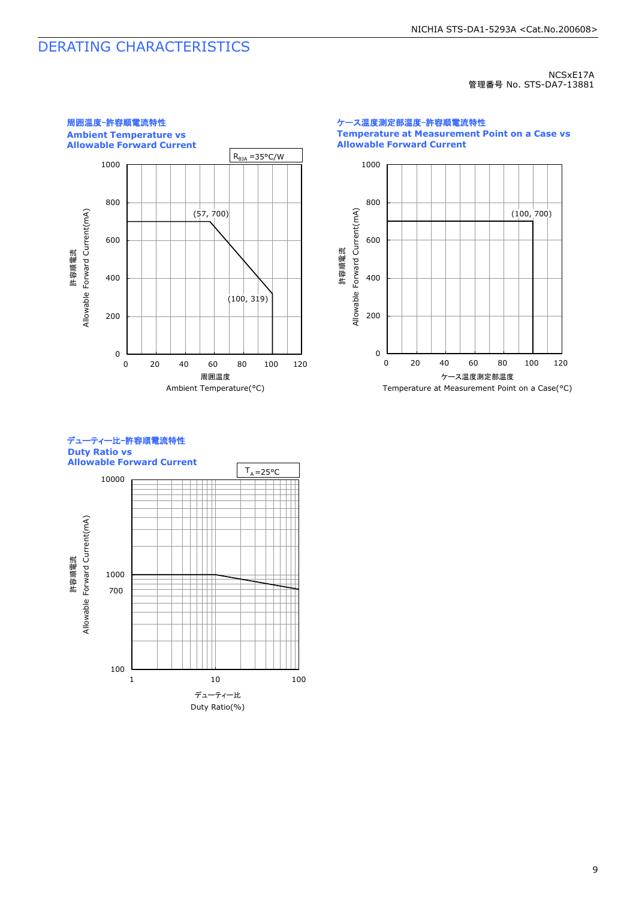# DERATING CHARACTERISTICS

NCSxE17A 管理番号 No. STS-DA7-13881



ケース温度測定部温度-許容順電流特性 **Temperature at Measurement Point on a Case vs Allowable Forward Current**



デューティー比-許容順電流特性 **Duty Ratio vs Allowable Forward Current**

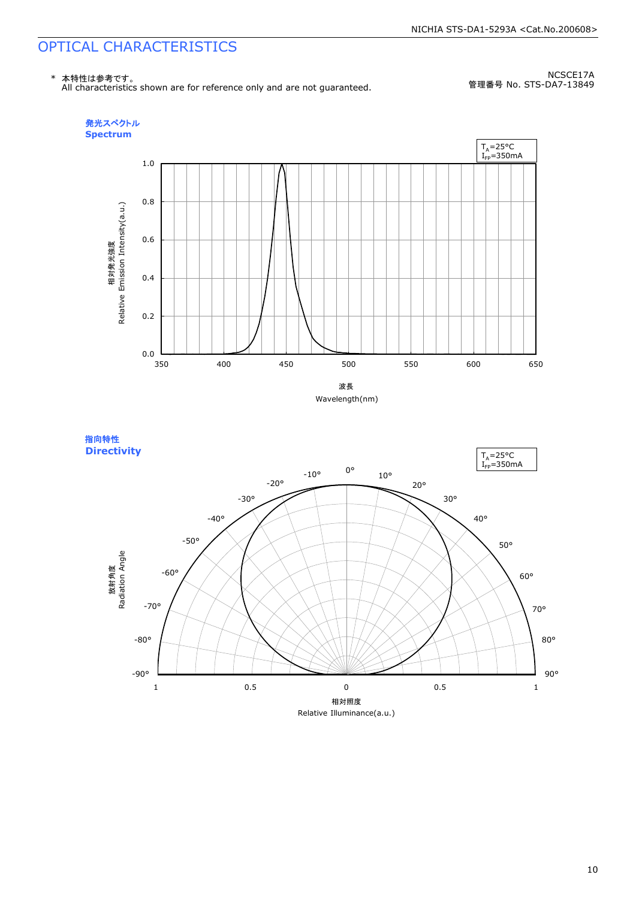# OPTICAL CHARACTERISTICS

\* 本特性は参考です。 All characteristics shown are for reference only and are not guaranteed.

NCSCE17A 管理番号 No. STS-DA7-13849







10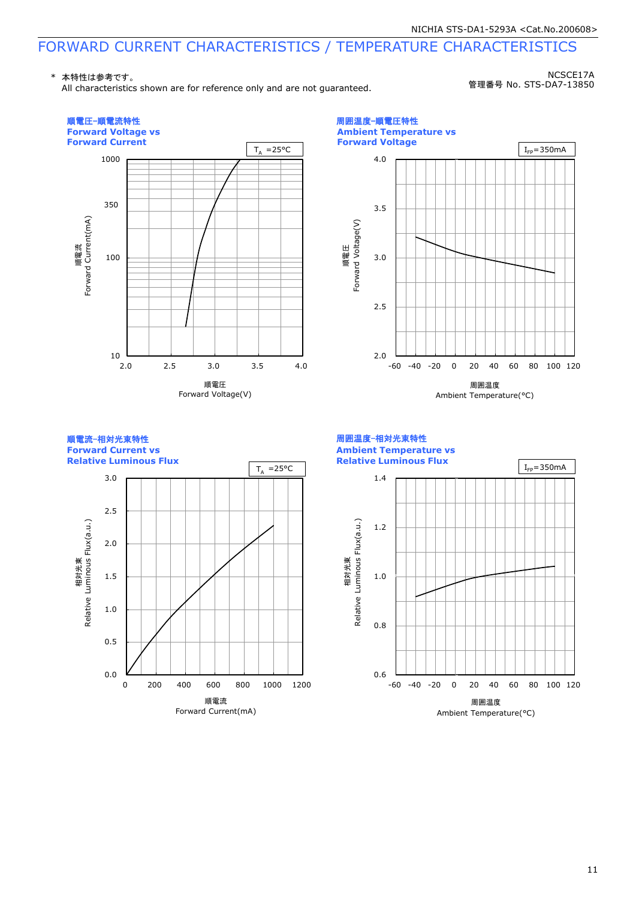# FORWARD CURRENT CHARACTERISTICS / TEMPERATURE CHARACTERISTICS

\* 本特性は参考です。

All characteristics shown are for reference only and are not guaranteed.

NCSCE17A 管理番号 No. STS-DA7-13850

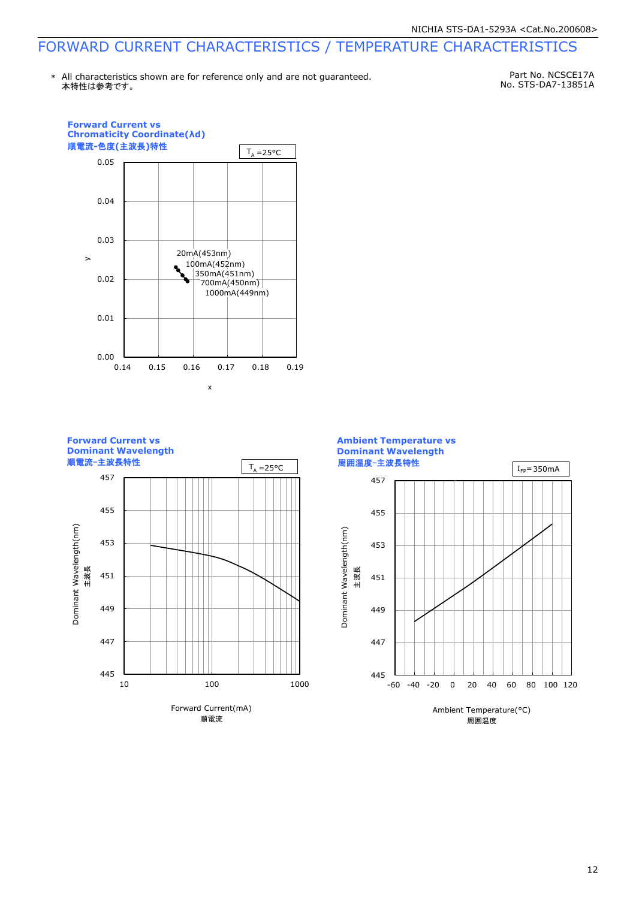# FORWARD CURRENT CHARACTERISTICS / TEMPERATURE CHARACTERISTICS

本特性は参考です。 \* All characteristics shown are for reference only and are not guaranteed.

Part No. NCSCE17A No. STS-DA7-13851A



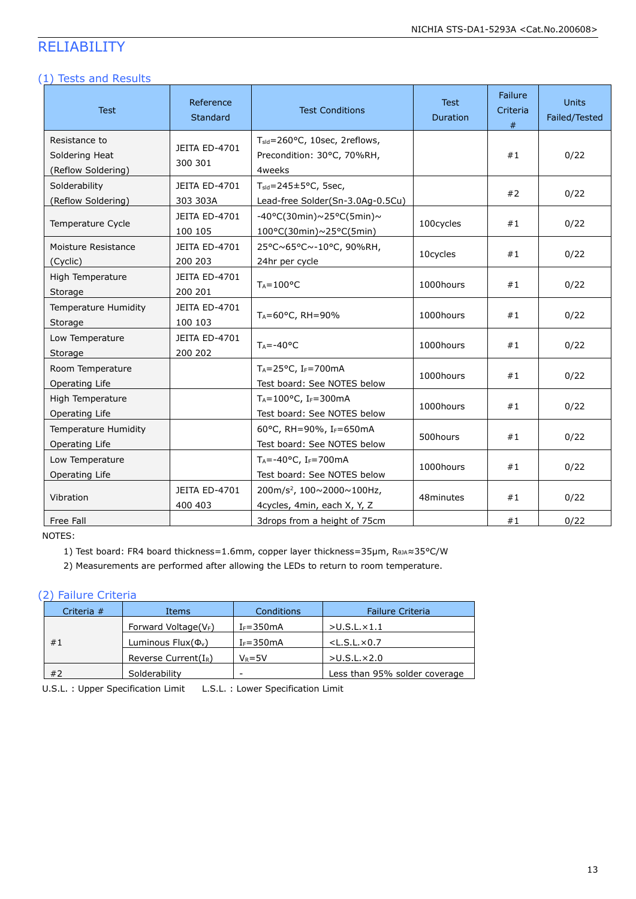# RELIABILITY

### (1) Tests and Results

| <b>Test</b>                                           | Reference<br>Standard           | <b>Test Conditions</b>                                                             | <b>Test</b><br><b>Duration</b> | Failure<br>Criteria<br># | Units<br>Failed/Tested |
|-------------------------------------------------------|---------------------------------|------------------------------------------------------------------------------------|--------------------------------|--------------------------|------------------------|
| Resistance to<br>Soldering Heat<br>(Reflow Soldering) | JEITA ED-4701<br>300 301        | T <sub>sld</sub> =260°C, 10sec, 2reflows,<br>Precondition: 30°C, 70%RH,<br>4weeks  |                                | #1                       | 0/22                   |
| Solderability<br>(Reflow Soldering)                   | JEITA ED-4701<br>303 303A       | $T_{\text{std}} = 245 \pm 5^{\circ}$ C, 5sec,<br>Lead-free Solder(Sn-3.0Ag-0.5Cu)  |                                | #2                       | 0/22                   |
| Temperature Cycle                                     | JEITA ED-4701<br>100 105        | $-40\degree$ C(30min)~25°C(5min)~<br>$100^{\circ}$ C(30min)~25°C(5min)             | 100cycles                      | #1                       | 0/22                   |
| Moisture Resistance<br>(Cyclic)                       | <b>JEITA ED-4701</b><br>200 203 | 25°C~65°C~-10°C, 90%RH,<br>24hr per cycle                                          | 10cycles                       | #1                       | 0/22                   |
| High Temperature<br>Storage                           | JEITA ED-4701<br>200 201        | $T_A = 100$ °C                                                                     | 1000hours                      | #1                       | 0/22                   |
| Temperature Humidity<br>Storage                       | JEITA ED-4701<br>100 103        | TA=60°C, RH=90%                                                                    | 1000hours                      | #1                       | 0/22                   |
| Low Temperature<br>Storage                            | JEITA ED-4701<br>200 202        | $T_A = -40$ °C                                                                     | 1000hours                      | #1                       | 0/22                   |
| Room Temperature<br>Operating Life                    |                                 | $T_A = 25$ °C, IF=700mA<br>Test board: See NOTES below                             | 1000hours                      | #1                       | 0/22                   |
| High Temperature<br>Operating Life                    |                                 | $T_A = 100$ °C, IF=300mA<br>Test board: See NOTES below                            | 1000hours                      | #1                       | 0/22                   |
| Temperature Humidity<br>Operating Life                |                                 | 60°C, RH=90%, IF=650mA<br>Test board: See NOTES below                              | 500hours                       | #1                       | 0/22                   |
| Low Temperature<br>Operating Life                     |                                 | $T_A = -40$ °C, I <sub>F</sub> =700mA<br>Test board: See NOTES below               | 1000hours                      | #1                       | 0/22                   |
| Vibration                                             | JEITA ED-4701<br>400 403        | 200m/s <sup>2</sup> , 100 $\sim$ 2000 $\sim$ 100Hz,<br>4cycles, 4min, each X, Y, Z | 48minutes                      | #1                       | 0/22                   |
| Free Fall                                             |                                 | 3drops from a height of 75cm                                                       |                                | #1                       | 0/22                   |

NOTES:

1) Test board: FR4 board thickness=1.6mm, copper layer thickness=35μm, RθJΑ≈35°C/W

2) Measurements are performed after allowing the LEDs to return to room temperature.

### (2) Failure Criteria

| Criteria # | <b>Items</b>                         | Conditions               | <b>Failure Criteria</b>       |
|------------|--------------------------------------|--------------------------|-------------------------------|
|            | Forward Voltage( $V_F$ )             | $I_F = 350mA$            | $>$ U.S.L. $\times$ 1.1       |
| #1         | Luminous Flux( $\Phi$ <sub>v</sub> ) | $I_F = 350mA$            | $<$ L.S.L. $\times$ 0.7       |
|            | Reverse Current( $I_R$ )             | $V_R = 5V$               | $>$ U.S.L. $\times$ 2.0       |
| #2         | Solderability                        | $\overline{\phantom{a}}$ | Less than 95% solder coverage |

U.S.L. : Upper Specification Limit L.S.L. : Lower Specification Limit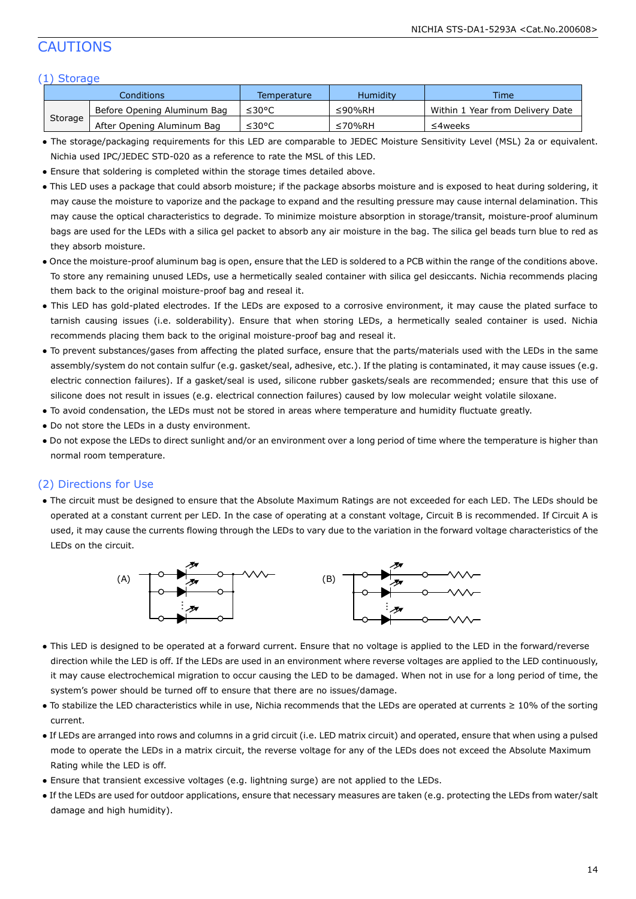# CAUTIONS

### (1) Storage

|         | Conditions                  | Temperature | Humidity | <b>Time</b>                      |
|---------|-----------------------------|-------------|----------|----------------------------------|
|         | Before Opening Aluminum Bag | ≤30°C       | ≤90%RH   | Within 1 Year from Delivery Date |
| Storage | After Opening Aluminum Bag  | ≤30°C       | ≤70%RH   | ≤4weeks                          |

- The storage/packaging requirements for this LED are comparable to JEDEC Moisture Sensitivity Level (MSL) 2a or equivalent. Nichia used IPC/JEDEC STD-020 as a reference to rate the MSL of this LED.
- Ensure that soldering is completed within the storage times detailed above.
- This LED uses a package that could absorb moisture; if the package absorbs moisture and is exposed to heat during soldering, it may cause the moisture to vaporize and the package to expand and the resulting pressure may cause internal delamination. This may cause the optical characteristics to degrade. To minimize moisture absorption in storage/transit, moisture-proof aluminum bags are used for the LEDs with a silica gel packet to absorb any air moisture in the bag. The silica gel beads turn blue to red as they absorb moisture.
- Once the moisture-proof aluminum bag is open, ensure that the LED is soldered to a PCB within the range of the conditions above. To store any remaining unused LEDs, use a hermetically sealed container with silica gel desiccants. Nichia recommends placing them back to the original moisture-proof bag and reseal it.
- This LED has gold-plated electrodes. If the LEDs are exposed to a corrosive environment, it may cause the plated surface to tarnish causing issues (i.e. solderability). Ensure that when storing LEDs, a hermetically sealed container is used. Nichia recommends placing them back to the original moisture-proof bag and reseal it.
- To prevent substances/gases from affecting the plated surface, ensure that the parts/materials used with the LEDs in the same assembly/system do not contain sulfur (e.g. gasket/seal, adhesive, etc.). If the plating is contaminated, it may cause issues (e.g. electric connection failures). If a gasket/seal is used, silicone rubber gaskets/seals are recommended; ensure that this use of silicone does not result in issues (e.g. electrical connection failures) caused by low molecular weight volatile siloxane.
- To avoid condensation, the LEDs must not be stored in areas where temperature and humidity fluctuate greatly.
- Do not store the LEDs in a dusty environment.
- Do not expose the LEDs to direct sunlight and/or an environment over a long period of time where the temperature is higher than normal room temperature.

### (2) Directions for Use

● The circuit must be designed to ensure that the Absolute Maximum Ratings are not exceeded for each LED. The LEDs should be operated at a constant current per LED. In the case of operating at a constant voltage, Circuit B is recommended. If Circuit A is used, it may cause the currents flowing through the LEDs to vary due to the variation in the forward voltage characteristics of the LEDs on the circuit.



- This LED is designed to be operated at a forward current. Ensure that no voltage is applied to the LED in the forward/reverse direction while the LED is off. If the LEDs are used in an environment where reverse voltages are applied to the LED continuously, it may cause electrochemical migration to occur causing the LED to be damaged. When not in use for a long period of time, the system's power should be turned off to ensure that there are no issues/damage.
- To stabilize the LED characteristics while in use, Nichia recommends that the LEDs are operated at currents ≥ 10% of the sorting current.
- If LEDs are arranged into rows and columns in a grid circuit (i.e. LED matrix circuit) and operated, ensure that when using a pulsed mode to operate the LEDs in a matrix circuit, the reverse voltage for any of the LEDs does not exceed the Absolute Maximum Rating while the LED is off.
- Ensure that transient excessive voltages (e.g. lightning surge) are not applied to the LEDs.
- If the LEDs are used for outdoor applications, ensure that necessary measures are taken (e.g. protecting the LEDs from water/salt damage and high humidity).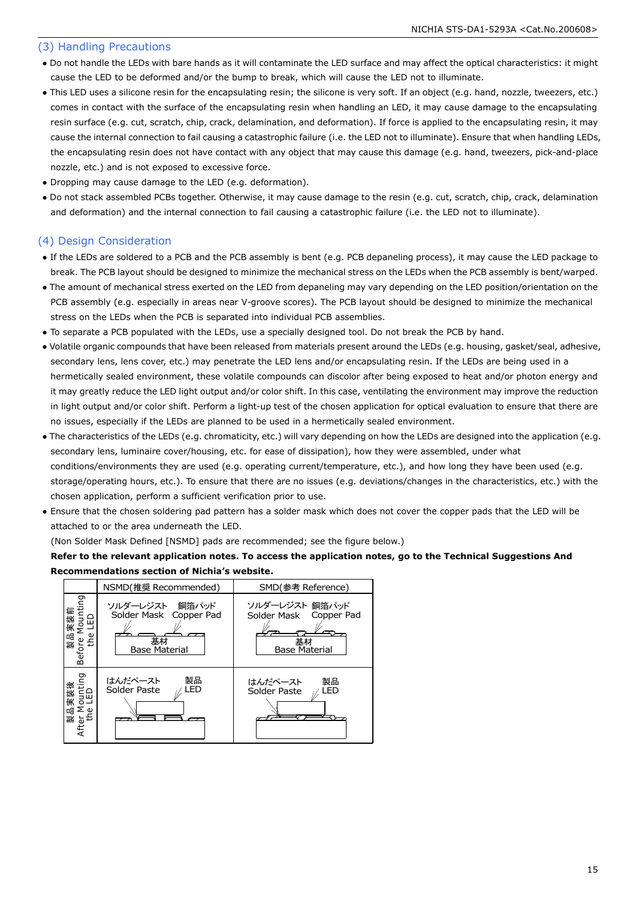### (3) Handling Precautions

- Do not handle the LEDs with bare hands as it will contaminate the LED surface and may affect the optical characteristics: it might cause the LED to be deformed and/or the bump to break, which will cause the LED not to illuminate.
- This LED uses a silicone resin for the encapsulating resin; the silicone is very soft. If an object (e.g. hand, nozzle, tweezers, etc.) comes in contact with the surface of the encapsulating resin when handling an LED, it may cause damage to the encapsulating resin surface (e.g. cut, scratch, chip, crack, delamination, and deformation). If force is applied to the encapsulating resin, it may cause the internal connection to fail causing a catastrophic failure (i.e. the LED not to illuminate). Ensure that when handling LEDs, the encapsulating resin does not have contact with any object that may cause this damage (e.g. hand, tweezers, pick-and-place nozzle, etc.) and is not exposed to excessive force.
- Dropping may cause damage to the LED (e.g. deformation).
- Do not stack assembled PCBs together. Otherwise, it may cause damage to the resin (e.g. cut, scratch, chip, crack, delamination and deformation) and the internal connection to fail causing a catastrophic failure (i.e. the LED not to illuminate).

### (4) Design Consideration

- If the LEDs are soldered to a PCB and the PCB assembly is bent (e.g. PCB depaneling process), it may cause the LED package to break. The PCB layout should be designed to minimize the mechanical stress on the LEDs when the PCB assembly is bent/warped.
- The amount of mechanical stress exerted on the LED from depaneling may vary depending on the LED position/orientation on the PCB assembly (e.g. especially in areas near V-groove scores). The PCB layout should be designed to minimize the mechanical stress on the LEDs when the PCB is separated into individual PCB assemblies.
- To separate a PCB populated with the LEDs, use a specially designed tool. Do not break the PCB by hand.
- Volatile organic compounds that have been released from materials present around the LEDs (e.g. housing, gasket/seal, adhesive, secondary lens, lens cover, etc.) may penetrate the LED lens and/or encapsulating resin. If the LEDs are being used in a hermetically sealed environment, these volatile compounds can discolor after being exposed to heat and/or photon energy and it may greatly reduce the LED light output and/or color shift. In this case, ventilating the environment may improve the reduction in light output and/or color shift. Perform a light-up test of the chosen application for optical evaluation to ensure that there are no issues, especially if the LEDs are planned to be used in a hermetically sealed environment.
- The characteristics of the LEDs (e.g. chromaticity, etc.) will vary depending on how the LEDs are designed into the application (e.g. secondary lens, luminaire cover/housing, etc. for ease of dissipation), how they were assembled, under what conditions/environments they are used (e.g. operating current/temperature, etc.), and how long they have been used (e.g. storage/operating hours, etc.). To ensure that there are no issues (e.g. deviations/changes in the characteristics, etc.) with the chosen application, perform a sufficient verification prior to use.
- Ensure that the chosen soldering pad pattern has a solder mask which does not cover the copper pads that the LED will be attached to or the area underneath the LED.

(Non Solder Mask Defined [NSMD] pads are recommended; see the figure below.)

### **Refer to the relevant application notes. To access the application notes, go to the Technical Suggestions And Recommendations section of Nichia's website.**

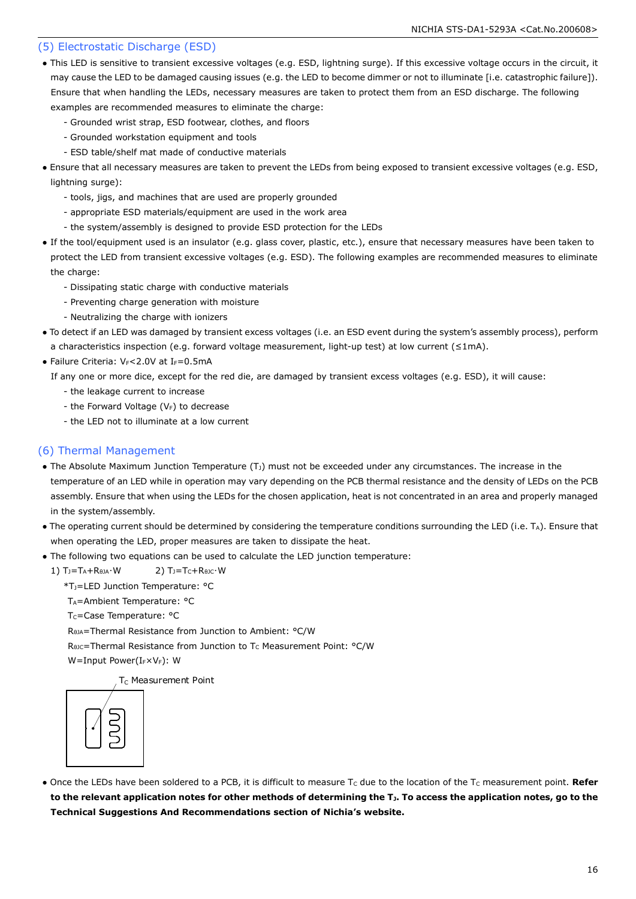### (5) Electrostatic Discharge (ESD)

- This LED is sensitive to transient excessive voltages (e.g. ESD, lightning surge). If this excessive voltage occurs in the circuit, it may cause the LED to be damaged causing issues (e.g. the LED to become dimmer or not to illuminate [i.e. catastrophic failure]). Ensure that when handling the LEDs, necessary measures are taken to protect them from an ESD discharge. The following examples are recommended measures to eliminate the charge:
	- Grounded wrist strap, ESD footwear, clothes, and floors
	- Grounded workstation equipment and tools
	- ESD table/shelf mat made of conductive materials
- Ensure that all necessary measures are taken to prevent the LEDs from being exposed to transient excessive voltages (e.g. ESD, lightning surge):
	- tools, jigs, and machines that are used are properly grounded
	- appropriate ESD materials/equipment are used in the work area
	- the system/assembly is designed to provide ESD protection for the LEDs
- If the tool/equipment used is an insulator (e.g. glass cover, plastic, etc.), ensure that necessary measures have been taken to protect the LED from transient excessive voltages (e.g. ESD). The following examples are recommended measures to eliminate the charge:
	- Dissipating static charge with conductive materials
	- Preventing charge generation with moisture
	- Neutralizing the charge with ionizers
- To detect if an LED was damaged by transient excess voltages (i.e. an ESD event during the system's assembly process), perform a characteristics inspection (e.g. forward voltage measurement, light-up test) at low current (≤1mA).
- Failure Criteria:  $V_F < 2.0V$  at I $_F = 0.5mA$

If any one or more dice, except for the red die, are damaged by transient excess voltages (e.g. ESD), it will cause:

- the leakage current to increase
- the Forward Voltage ( $V_F$ ) to decrease
- the LED not to illuminate at a low current

### (6) Thermal Management

- The Absolute Maximum Junction Temperature  $(T<sub>J</sub>)$  must not be exceeded under any circumstances. The increase in the temperature of an LED while in operation may vary depending on the PCB thermal resistance and the density of LEDs on the PCB assembly. Ensure that when using the LEDs for the chosen application, heat is not concentrated in an area and properly managed in the system/assembly.
- The operating current should be determined by considering the temperature conditions surrounding the LED (i.e. TA). Ensure that when operating the LED, proper measures are taken to dissipate the heat.
- The following two equations can be used to calculate the LED junction temperature:
	- 1)  $T_J = T_A + R_{\thetaJA} \cdot W$  2)  $T_J = T_C + R_{\theta JC} \cdot W$ 
		- \*TJ=LED Junction Temperature: °C
		- T<sub>A</sub>=Ambient Temperature: °C
		- T<sub>C</sub>=Case Temperature: °C

RθJA=Thermal Resistance from Junction to Ambient: °C/W

R<sub>θJC</sub>=Thermal Resistance from Junction to T<sub>C</sub> Measurement Point: °C/W

W=Input Power(IFXVF): W

T<sub>C</sub> Measurement Point



• Once the LEDs have been soldered to a PCB, it is difficult to measure T<sub>c</sub> due to the location of the T<sub>c</sub> measurement point. Refer **to the relevant application notes for other methods of determining the TJ. To access the application notes, go to the Technical Suggestions And Recommendations section of Nichia's website.**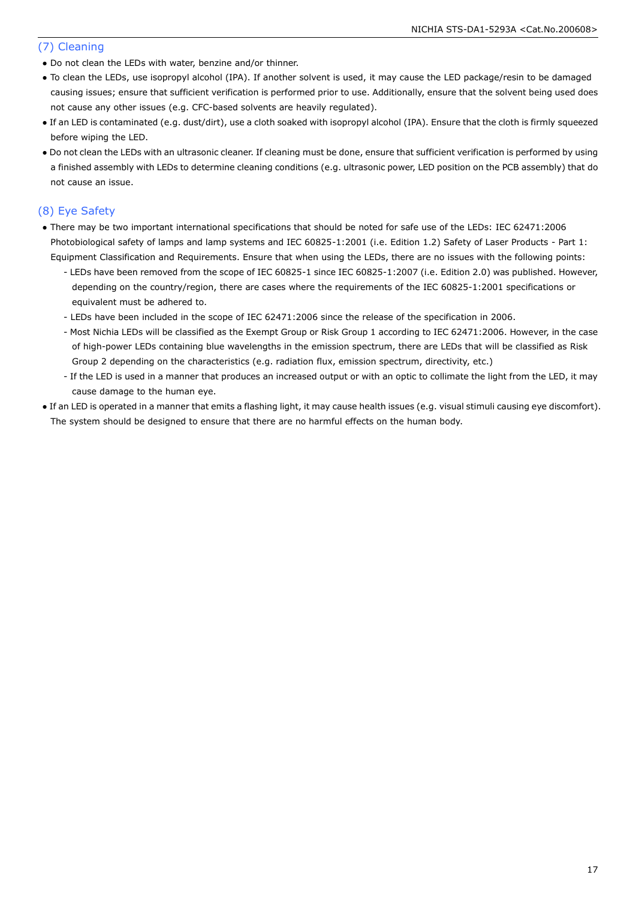### (7) Cleaning

- Do not clean the LEDs with water, benzine and/or thinner.
- To clean the LEDs, use isopropyl alcohol (IPA). If another solvent is used, it may cause the LED package/resin to be damaged causing issues; ensure that sufficient verification is performed prior to use. Additionally, ensure that the solvent being used does not cause any other issues (e.g. CFC-based solvents are heavily regulated).
- If an LED is contaminated (e.g. dust/dirt), use a cloth soaked with isopropyl alcohol (IPA). Ensure that the cloth is firmly squeezed before wiping the LED.
- Do not clean the LEDs with an ultrasonic cleaner. If cleaning must be done, ensure that sufficient verification is performed by using a finished assembly with LEDs to determine cleaning conditions (e.g. ultrasonic power, LED position on the PCB assembly) that do not cause an issue.

### (8) Eye Safety

- There may be two important international specifications that should be noted for safe use of the LEDs: IEC 62471:2006 Photobiological safety of lamps and lamp systems and IEC 60825-1:2001 (i.e. Edition 1.2) Safety of Laser Products - Part 1: Equipment Classification and Requirements. Ensure that when using the LEDs, there are no issues with the following points:
	- LEDs have been removed from the scope of IEC 60825-1 since IEC 60825-1:2007 (i.e. Edition 2.0) was published. However, depending on the country/region, there are cases where the requirements of the IEC 60825-1:2001 specifications or equivalent must be adhered to.
	- LEDs have been included in the scope of IEC 62471:2006 since the release of the specification in 2006.
	- Most Nichia LEDs will be classified as the Exempt Group or Risk Group 1 according to IEC 62471:2006. However, in the case of high-power LEDs containing blue wavelengths in the emission spectrum, there are LEDs that will be classified as Risk Group 2 depending on the characteristics (e.g. radiation flux, emission spectrum, directivity, etc.)
	- If the LED is used in a manner that produces an increased output or with an optic to collimate the light from the LED, it may cause damage to the human eye.
- If an LED is operated in a manner that emits a flashing light, it may cause health issues (e.g. visual stimuli causing eye discomfort). The system should be designed to ensure that there are no harmful effects on the human body.